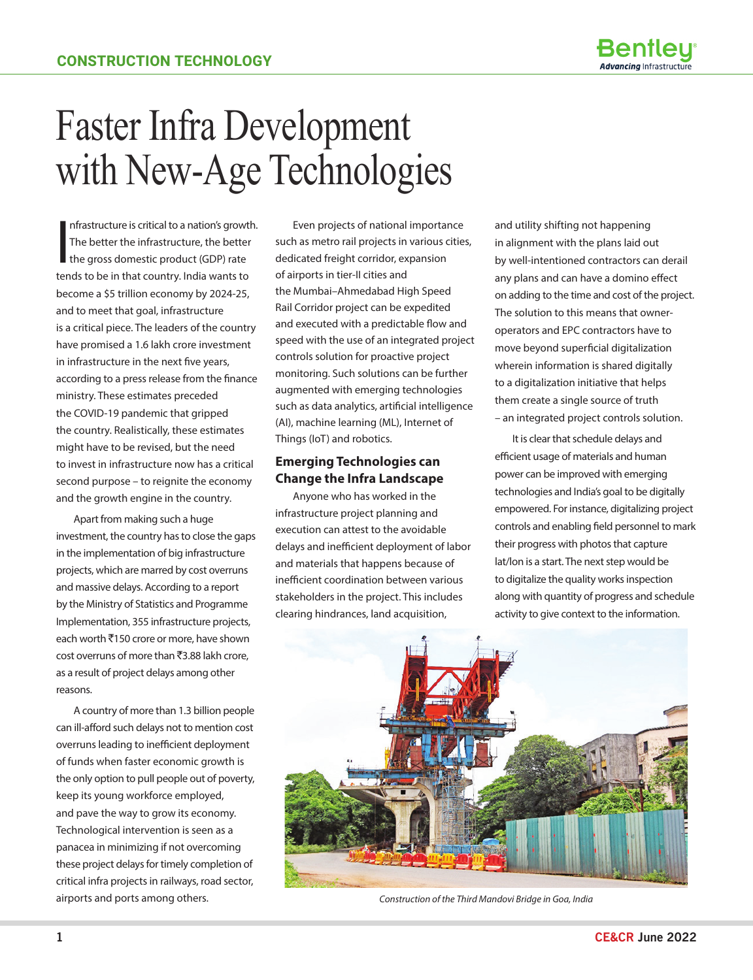

# Faster Infra Development with New-Age Technologies

 $\overline{\phantom{a}}$ nfrastructure is critical to a nation's growth. The better the infrastructure, the better the gross domestic product (GDP) rate tends to be in that country. India wants to become a \$5 trillion economy by 2024-25, and to meet that goal, infrastructure is a critical piece. The leaders of the country have promised a 1.6 lakh crore investment in infrastructure in the next five years, according to a press release from the finance ministry. These estimates preceded the COVID-19 pandemic that gripped the country. Realistically, these estimates might have to be revised, but the need to invest in infrastructure now has a critical second purpose – to reignite the economy and the growth engine in the country.

Apart from making such a huge investment, the country has to close the gaps in the implementation of big infrastructure projects, which are marred by cost overruns and massive delays. According to a report by the Ministry of Statistics and Programme Implementation, 355 infrastructure projects, each worth ₹150 crore or more, have shown cost overruns of more than  $\bar{c}3.88$  lakh crore, as a result of project delays among other reasons.

A country of more than 1.3 billion people can ill-afford such delays not to mention cost overruns leading to inefficient deployment of funds when faster economic growth is the only option to pull people out of poverty, keep its young workforce employed, and pave the way to grow its economy. Technological intervention is seen as a panacea in minimizing if not overcoming these project delays for timely completion of critical infra projects in railways, road sector, airports and ports among others.

Even projects of national importance such as metro rail projects in various cities, dedicated freight corridor, expansion of airports in tier-II cities and the Mumbai–Ahmedabad High Speed Rail Corridor project can be expedited and executed with a predictable flow and speed with the use of an integrated project controls solution for proactive project monitoring. Such solutions can be further augmented with emerging technologies such as data analytics, artificial intelligence (AI), machine learning (ML), Internet of Things (IoT) and robotics.

#### **Emerging Technologies can Change the Infra Landscape**

Anyone who has worked in the infrastructure project planning and execution can attest to the avoidable delays and inefficient deployment of labor and materials that happens because of inefficient coordination between various stakeholders in the project. This includes clearing hindrances, land acquisition,

and utility shifting not happening in alignment with the plans laid out by well-intentioned contractors can derail any plans and can have a domino effect on adding to the time and cost of the project. The solution to this means that owneroperators and EPC contractors have to move beyond superficial digitalization wherein information is shared digitally to a digitalization initiative that helps them create a single source of truth – an integrated project controls solution.

It is clear that schedule delays and efficient usage of materials and human power can be improved with emerging technologies and India's goal to be digitally empowered. For instance, digitalizing project controls and enabling field personnel to mark their progress with photos that capture lat/lon is a start. The next step would be to digitalize the quality works inspection along with quantity of progress and schedule activity to give context to the information.



*Construction of the Third Mandovi Bridge in Goa, India*